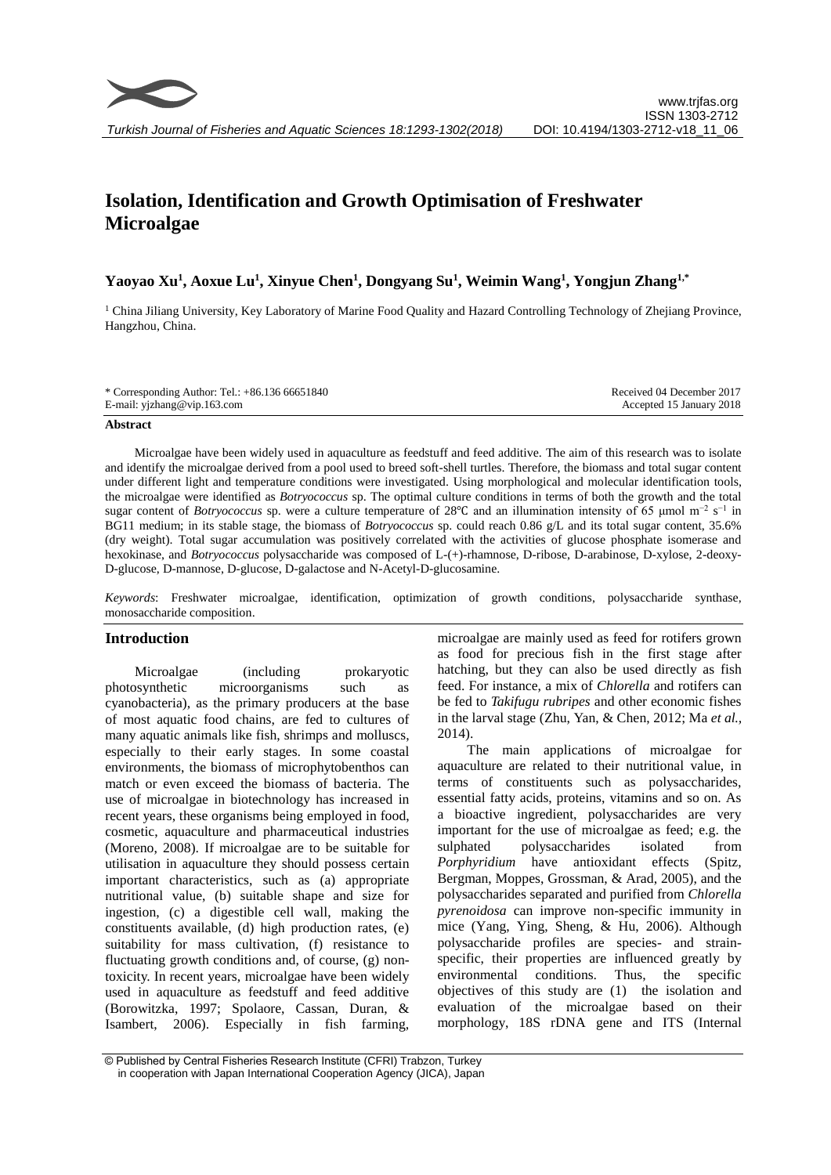

# **Isolation, Identification and Growth Optimisation of Freshwater Microalgae**

# **Yaoyao Xu<sup>1</sup> , Aoxue Lu<sup>1</sup> , Xinyue Chen<sup>1</sup> , Dongyang Su<sup>1</sup> , Weimin Wang<sup>1</sup> , Yongjun Zhang1,\***

<sup>1</sup> China Jiliang University, Key Laboratory of Marine Food Quality and Hazard Controlling Technology of Zhejiang Province, Hangzhou, China.

| * Corresponding Author: Tel.: $+86.13666651840$ | Received 04 December 2017 |
|-------------------------------------------------|---------------------------|
| E-mail: yjzhang@vip.163.com                     | Accepted 15 January 2018  |

#### **Abstract**

Microalgae have been widely used in aquaculture as feedstuff and feed additive. The aim of this research was to isolate and identify the microalgae derived from a pool used to breed soft-shell turtles. Therefore, the biomass and total sugar content under different light and temperature conditions were investigated. Using morphological and molecular identification tools, the microalgae were [identified](http://fanyi.baidu.com/#en/zh/identified) as *Botryococcus* sp. The optimal culture conditions in terms of both the growth and the total sugar content of *Botryococcus* sp. were a culture temperature of 28°C and an illumination intensity of 65 μmol m<sup>−2</sup> s<sup>−1</sup> in BG11 medium; in its stable stage, the biomass of *Botryococcus* sp. could reach 0.86 g/L and its total sugar content, 35.6% (dry weight). Total sugar accumulation was positively correlated with the activities of glucose phosphate isomerase and hexokinase, and *Botryococcus* polysaccharide was composed of L-(+)-rhamnose, D-ribose, D-arabinose, D-xylose, 2-deoxy-D-glucose, D-mannose, D-glucose, D-galactose and N-Acetyl-D-glucosamine.

*Keywords*: Freshwater microalgae, identification, optimization of growth conditions, polysaccharide synthase, monosaccharide composition.

## **Introduction**

Microalgae (including prokaryotic photosynthetic microorganisms such as cyanobacteria), as the primary producers at the base of most aquatic food chains, are fed to cultures of many aquatic animals like fish, shrimps and molluscs, especially to their early stages. In some coastal environments, the biomass of microphytobenthos can match or even exceed the biomass of bacteria. The use of microalgae in biotechnology has increased in recent years, these organisms being employed in food, cosmetic, aquaculture and pharmaceutical industries (Moreno, 2008). If microalgae are to be suitable for utilisation in aquaculture they should possess certain important characteristics, such as (a) appropriate nutritional value, (b) suitable shape and size for ingestion, (c) a digestible cell wall, making the constituents available, (d) high production rates, (e) suitability for mass cultivation, (f) resistance to fluctuating growth conditions and, of course, (g) nontoxicity. In recent years, microalgae have been widely used in aquaculture as feedstuff and feed additive (Borowitzka, 1997; Spolaore, Cassan, Duran, & Isambert, 2006). Especially in fish farming,

microalgae are mainly used as feed for rotifers grown as food for precious fish in the first stage after hatching, but they can also be used directly as fish feed. For instance, a mix of *Chlorella* and rotifers can be fed to *Takifugu rubripes* and other economic fishes in the larval stage (Zhu, Yan, & Chen, 2012; Ma *et al.,* 2014).

The main applications of microalgae for aquaculture are related to their nutritional value, in terms of constituents such as polysaccharides, essential fatty acids, proteins, vitamins and so on. As a bioactive ingredient, polysaccharides are very important for the use of microalgae as feed; e.g. the sulphated polysaccharides isolated from *Porphyridium* have antioxidant effects (Spitz, Bergman, Moppes, Grossman, & Arad, 2005), and the polysaccharides separated and purified from *Chlorella pyrenoidosa* can improve non-specific immunity in mice (Yang, Ying, Sheng, & Hu, 2006). Although polysaccharide profiles are species- and strainspecific, their properties are influenced greatly by environmental conditions. Thus, the specific objectives of this study are (1) the isolation and evaluation of the microalgae based on their morphology, 18S rDNA gene and ITS (Internal

<sup>©</sup> Published by Central Fisheries Research Institute (CFRI) Trabzon, Turkey in cooperation with Japan International Cooperation Agency (JICA), Japan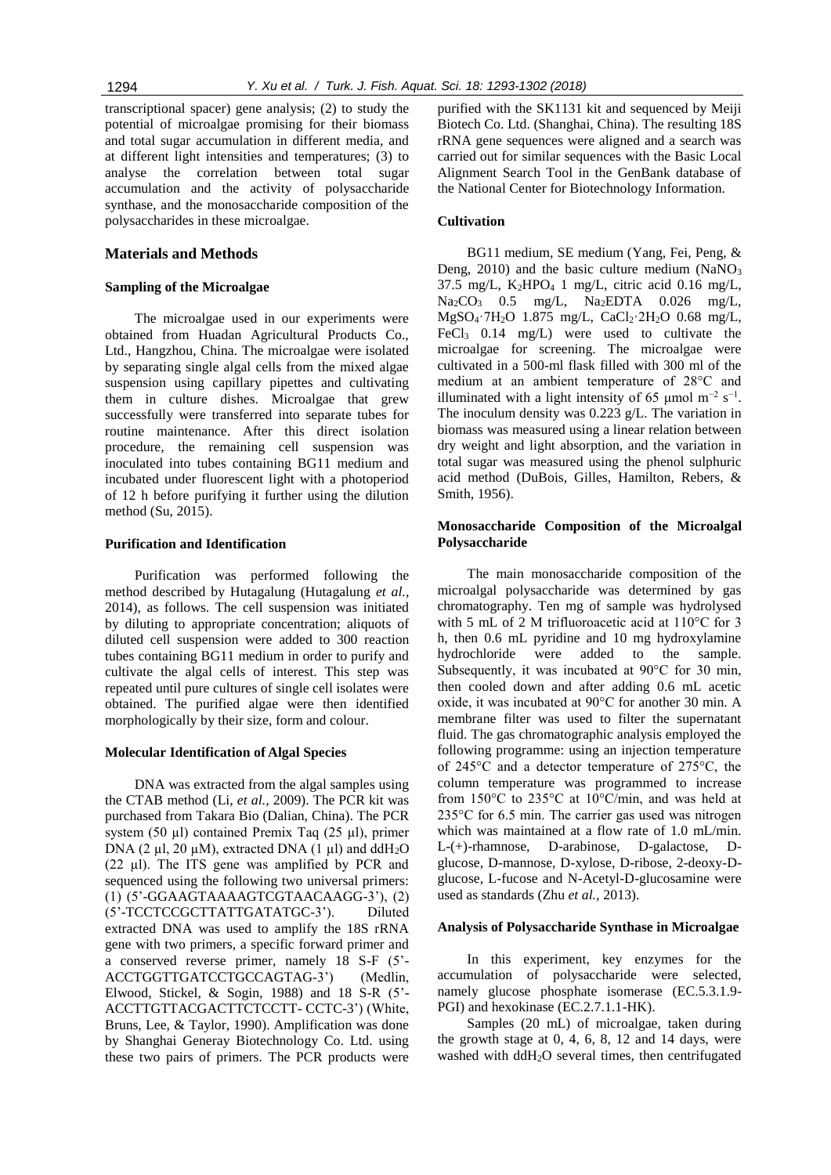transcriptional spacer) gene analysis; (2) to study the potential of microalgae promising for their biomass and total sugar accumulation in different media, and at different light intensities and temperatures; (3) to analyse the correlation between total sugar accumulation and the activity of polysaccharide synthase, and the monosaccharide composition of the polysaccharides in these microalgae.

## **Materials and Methods**

#### **Sampling of the Microalgae**

The microalgae used in our experiments were obtained from Huadan Agricultural Products Co., Ltd., Hangzhou, China. The microalgae were isolated by separating single algal cells from the mixed algae suspension using capillary pipettes and cultivating them in culture dishes. Microalgae that grew successfully were transferred into separate tubes for routine maintenance. After this direct isolation procedure, the remaining cell suspension was inoculated into tubes containing BG11 medium and incubated under fluorescent light with a photoperiod of 12 h before purifying it further using the dilution method (Su, 2015).

#### **Purification and Identification**

Purification was performed following the method described by Hutagalung (Hutagalung *et al.,* 2014), as follows. The cell suspension was initiated by diluting to appropriate concentration; aliquots of diluted cell suspension were added to 300 reaction tubes containing BG11 medium in order to purify and cultivate the algal cells of interest. This step was repeated until pure cultures of single cell isolates were obtained. The purified algae were then identified morphologically by their size, form and colour.

#### **Molecular Identification of Algal Species**

DNA was extracted from the algal samples using the CTAB method (Li, *et al.,* 2009). The PCR kit was purchased from Takara Bio (Dalian, China). The PCR system (50 µl) contained Premix Taq (25 µl), primer DNA (2 ul, 20 uM), extracted DNA (1 ul) and ddH<sub>2</sub>O (22 µl). The ITS gene was amplified by PCR and sequenced using the following two universal primers: (1) (5'-GGAAGTAAAAGTCGTAACAAGG-3'), (2) (5'-TCCTCCGCTTATTGATATGC-3'). Diluted extracted DNA was used to amplify the 18S rRNA gene with two primers, a specific forward primer and a conserved reverse primer, namely 18 S-F (5'- ACCTGGTTGATCCTGCCAGTAG-3') (Medlin, Elwood, Stickel, & Sogin, 1988) and 18 S-R (5'- ACCTTGTTACGACTTCTCCTT- CCTC-3') (White, Bruns, Lee, & Taylor, 1990). Amplification was done by Shanghai Generay Biotechnology Co. Ltd. using these two pairs of primers. The PCR products were purified with the SK1131 kit and sequenced by Meiji Biotech Co. Ltd. (Shanghai, China). The resulting 18S rRNA gene sequences were aligned and a search was carried out for similar sequences with the Basic Local Alignment Search Tool in the GenBank database of the National Center for Biotechnology Information.

#### **Cultivation**

BG11 medium, SE medium (Yang, Fei, Peng, & Deng,  $2010$ ) and the basic culture medium (NaNO<sub>3</sub>)  $37.5$  mg/L,  $K_2$ HPO<sub>4</sub> 1 mg/L, citric acid 0.16 mg/L,  $Na_2CO_3$  0.5 mg/L,  $Na_2EDTA$  0.026 mg/L,  $MgSO_4$ ·7H<sub>2</sub>O 1.875 mg/L, CaCl<sub>2</sub>·2H<sub>2</sub>O 0.68 mg/L, FeCl<sub>3</sub> 0.14 mg/L) were used to cultivate the microalgae for screening. The microalgae were cultivated in a 500-ml flask filled with 300 ml of the medium at an ambient temperature of 28°C and illuminated with a light intensity of 65 μmol m<sup>-2</sup> s<sup>-1</sup>. The inoculum density was 0.223 g/L. The variation in biomass was measured using a linear relation between dry weight and light absorption, and the variation in total sugar was measured using the phenol sulphuric acid method (DuBois, Gilles, Hamilton, Rebers, & Smith, 1956).

# **Monosaccharide Composition of the Microalgal Polysaccharide**

The main monosaccharide composition of the microalgal polysaccharide was determined by gas chromatography. Ten mg of sample was hydrolysed with 5 mL of 2 M trifluoroacetic acid at 110°C for 3 h, then 0.6 mL pyridine and 10 mg hydroxylamine hydrochloride were added to the sample. Subsequently, it was incubated at 90°C for 30 min, then cooled down and after adding 0.6 mL acetic oxide, it was incubated at 90°C for another 30 min. A membrane filter was used to filter the supernatant fluid. The gas chromatographic analysis employed the following programme: using an injection temperature of 245°C and a detector temperature of 275°C, the column temperature was programmed to increase from 150°C to 235°C at 10°C/min, and was held at 235°C for 6.5 min. The carrier gas used was nitrogen which was maintained at a flow rate of 1.0 mL/min. L-(+)-rhamnose, D-arabinose, D-galactose, Dglucose, D-mannose, D-xylose, D-ribose, 2-deoxy-Dglucose, L-fucose and N-Acetyl-D-glucosamine were used as standards (Zhu *et al.,* 2013).

## **Analysis of Polysaccharide Synthase in Microalgae**

In this experiment, key enzymes for the accumulation of polysaccharide were selected, namely glucose phosphate isomerase (EC.5.3.1.9- PGI) and hexokinase (EC.2.7.1.1-HK).

Samples (20 mL) of microalgae, taken during the growth stage at  $0, 4, 6, 8, 12$  and  $14$  days, were washed with ddH<sub>2</sub>O several times, then centrifugated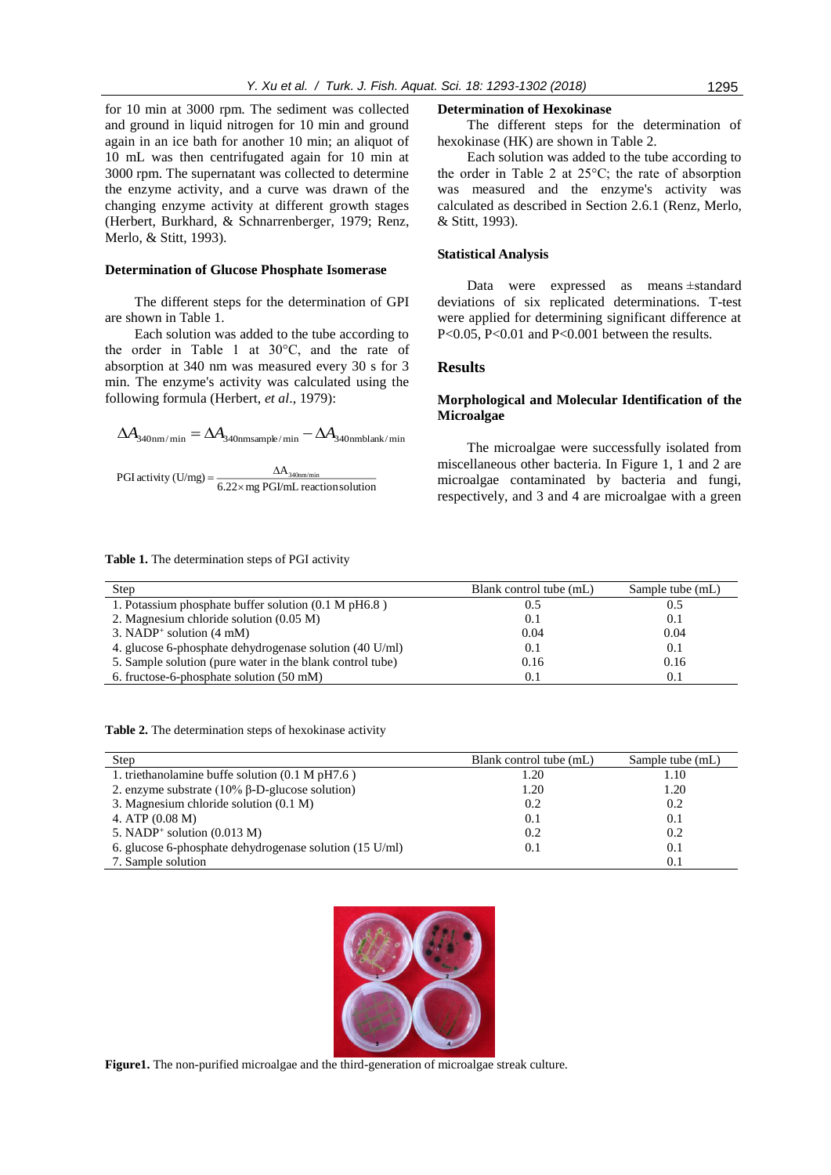for 10 min at 3000 rpm. The sediment was collected and ground in liquid nitrogen for 10 min and ground again in an ice bath for another 10 min; an aliquot of 10 mL was then centrifugated again for 10 min at 3000 rpm. The supernatant was collected to determine the enzyme activity, and a curve was drawn of the changing enzyme activity at different growth stages (Herbert, Burkhard, & Schnarrenberger, 1979; [Renz,](http://xueshu.baidu.com/s?wd=author:(Andreas%20Renz)%20&tn=SE_baiduxueshu_c1gjeupa&ie=utf-8&sc_f_para=sc_hilight=person)  [Merlo, & Stitt,](http://xueshu.baidu.com/s?wd=author:(Andreas%20Renz)%20&tn=SE_baiduxueshu_c1gjeupa&ie=utf-8&sc_f_para=sc_hilight=person) 1993).

#### **Determination of Glucose Phosphate Isomerase**

The different steps for the determination of GPI are shown in Table 1.

Each solution was added to the tube according to the order in Table 1 at 30°C, and the rate of absorption at 340 nm was measured every 30 s for 3 min. The enzyme's activity was calculated using the following formula (Herbert, *et al*., 1979):

$$
\Delta A_{\rm 340nm/min} = \Delta A_{\rm 340nm sample/min} - \Delta A_{\rm 340nm blank/min}
$$

PGI activity (U/mg) = 
$$
\frac{\Delta A_{\text{340nm/min}}}{6.22 \times mg \text{ PGI/mL reactions solution}}
$$

#### **Determination of Hexokinase**

The different steps for the determination of hexokinase (HK) are shown in Table 2.

Each solution was added to the tube according to the order in Table 2 at 25°C; the rate of absorption was measured and the enzyme's activity was calculated as described in Section 2.6.1 [\(Renz, Merlo,](http://xueshu.baidu.com/s?wd=author:(Andreas%20Renz)%20&tn=SE_baiduxueshu_c1gjeupa&ie=utf-8&sc_f_para=sc_hilight=person)  [& Stitt, 1](http://xueshu.baidu.com/s?wd=author:(Andreas%20Renz)%20&tn=SE_baiduxueshu_c1gjeupa&ie=utf-8&sc_f_para=sc_hilight=person)993).

## **Statistical Analysis**

Data were expressed as means ±standard deviations of six replicated determinations. T-test were applied for determining significant difference at P<0.05, P<0.01 and P<0.001 between the results.

#### **Results**

# **Morphological and Molecular Identification of the Microalgae**

The microalgae were successfully isolated from miscellaneous other bacteria. In Figure 1, 1 and 2 are microalgae contaminated by bacteria and fungi, respectively, and 3 and 4 are microalgae with a green

**Table 1.** The determination steps of PGI activity

| Step                                                      | Blank control tube (mL) | Sample tube (mL) |
|-----------------------------------------------------------|-------------------------|------------------|
| 1. Potassium phosphate buffer solution (0.1 M pH6.8)      | 0.5                     | 0.5              |
| 2. Magnesium chloride solution (0.05 M)                   | 0.1                     | 0.1              |
| 3. NADP <sup>+</sup> solution $(4 \text{ mM})$            | 0.04                    | 0.04             |
| 4. glucose 6-phosphate dehydrogenase solution (40 U/ml)   | 0.1                     | 0.1              |
| 5. Sample solution (pure water in the blank control tube) | 0.16                    | 0.16             |
| 6. fructose-6-phosphate solution (50 mM)                  | 0.1                     | 0.1              |

**Table 2.** The determination steps of hexokinase activity

| Step                                                              | Blank control tube (mL) | Sample tube (mL) |
|-------------------------------------------------------------------|-------------------------|------------------|
| 1. triethanolamine buffe solution $(0.1 M pH7.6)$                 | 1.20                    | 1.10             |
| 2. enzyme substrate $(10\% \beta$ -D-glucose solution)            | 1.20                    | 1.20             |
| 3. Magnesium chloride solution (0.1 M)                            | 0.2                     | 0.2              |
| 4. ATP $(0.08 \text{ M})$                                         | 0.1                     | 0.1              |
| 5. NADP <sup>+</sup> solution $(0.013 \text{ M})$                 | 0.2                     | 0.2              |
| 6. glucose 6-phosphate dehydrogenase solution $(15 \text{ U/ml})$ | 0.1                     | 0.1              |
| 7. Sample solution                                                |                         | 0.1              |



**Figure1.** The non-purified microalgae and the third-generation of microalgae streak culture*.*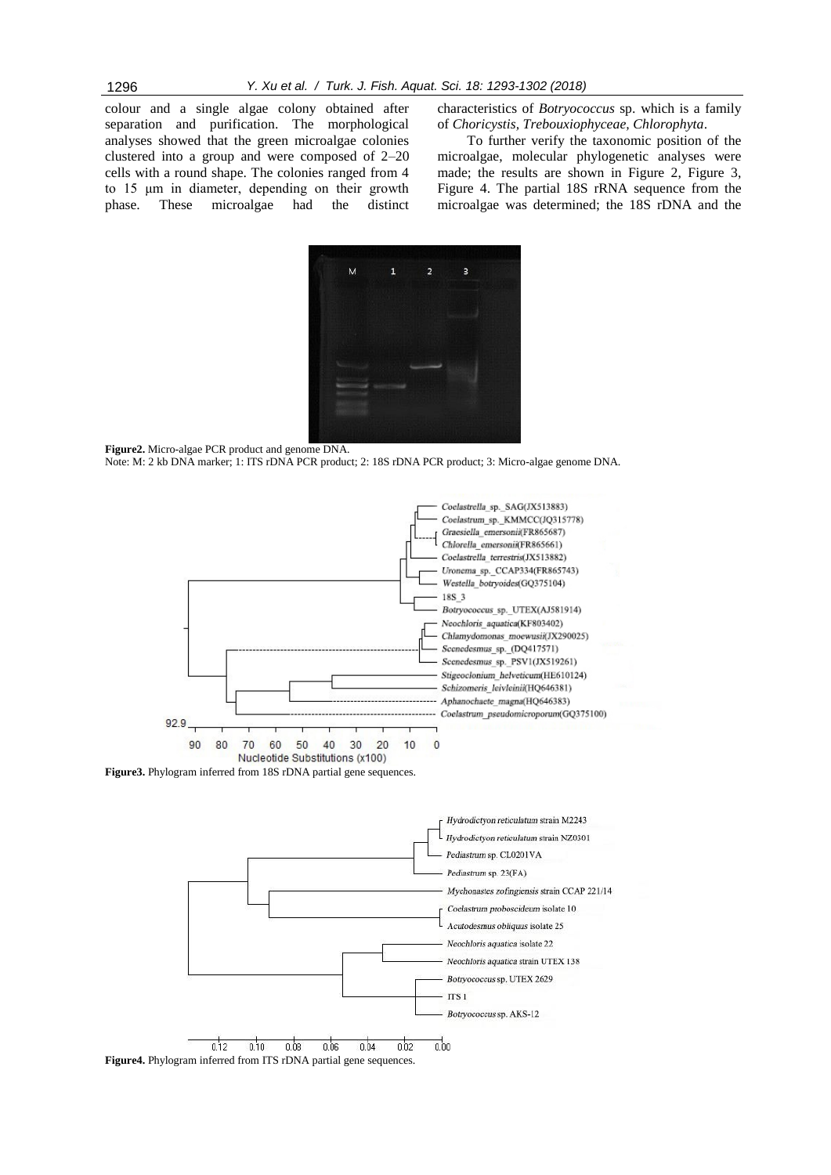colour and a single algae colony obtained after separation and purification. The morphological analyses showed that the green microalgae colonies clustered into a group and were composed of 2–20 cells with a round shape. The colonies ranged from 4 to 15 μm in diameter, depending on their growth phase. These microalgae had the distinct

characteristics of *Botryococcus* sp. which is a family of *Choricystis, Trebouxiophyceae, Chlorophyta*.

To further verify the taxonomic position of the microalgae, molecular phylogenetic analyses were made; the results are shown in Figure 2, Figure 3, Figure 4. The partial 18S rRNA sequence from the microalgae was determined; the 18S rDNA and the



**Figure2.** Micro-algae PCR product and genome DNA. Note: M: 2 kb DNA marker; 1: ITS rDNA PCR product; 2: 18S rDNA PCR product; 3: Micro-algae genome DNA.



**Figure3.** Phylogram inferred from 18S rDNA partial gene sequences.



**Figure4.** Phylogram inferred from ITS rDNA partial gene sequences.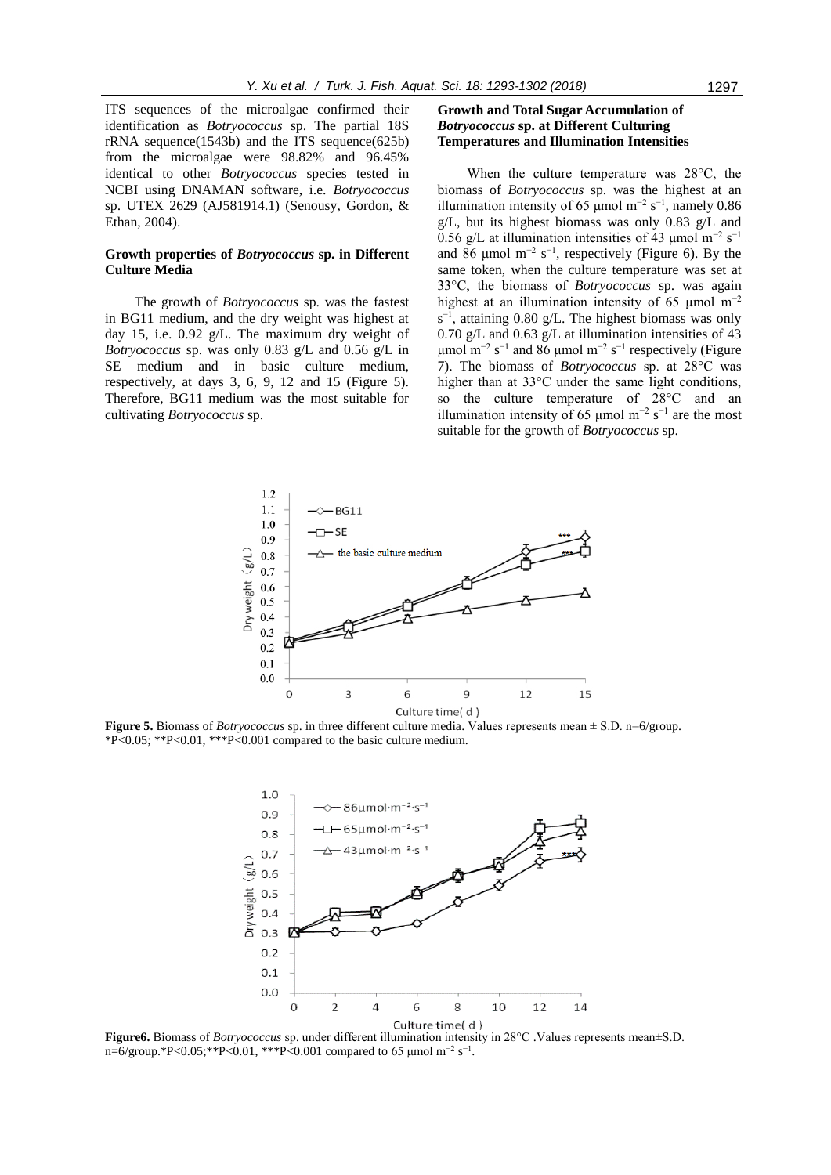ITS sequences of the microalgae confirmed their identification as *Botryococcus* sp. The partial 18S rRNA sequence(1543b) and the ITS sequence(625b) from the microalgae were 98.82% and 96.45% identical to other *Botryococcus* species tested in NCBI using DNAMAN software, i.e. *Botryococcus* sp. UTEX 2629 (AJ581914.1) (Senousy, Gordon, & Ethan, 2004).

## **Growth properties of** *Botryococcus* **sp. in Different Culture Media**

The growth of *Botryococcus* sp. was the fastest in BG11 medium, and the dry weight was highest at day 15, i.e. 0.92 g/L. The maximum dry weight of *Botryococcus* sp. was only 0.83 g/L and 0.56 g/L in SE medium and in basic culture medium, respectively, at days 3, 6, 9, 12 and 15 (Figure 5). Therefore, BG11 medium was the most suitable for cultivating *Botryococcus* sp.

# **Growth and Total Sugar Accumulation of**  *Botryococcus* **sp. at Different Culturing Temperatures and Illumination Intensities**

When the culture temperature was 28°C, the biomass of *Botryococcus* sp. was the highest at an illumination intensity of 65 µmol m<sup>-2</sup> s<sup>-1</sup>, namely 0.86 g/L, but its highest biomass was only 0.83 g/L and 0.56 g/L at illumination intensities of 43 µmol m<sup>-2</sup> s<sup>-1</sup> and 86 µmol m<sup>-2</sup> s<sup>-1</sup>, respectively (Figure 6). By the same token, when the culture temperature was set at 33°C, the biomass of *Botryococcus* sp. was again highest at an illumination intensity of 65 µmol  $m^{-2}$  $s^{-1}$ , attaining 0.80 g/L. The highest biomass was only 0.70 g/L and 0.63 g/L at illumination intensities of 43 μmol m<sup>-2</sup> s<sup>-1</sup> and 86 μmol m<sup>-2</sup> s<sup>-1</sup> respectively (Figure 7). The biomass of *Botryococcus* sp. at 28°C was higher than at 33°C under the same light conditions, so the culture temperature of 28°C and an illumination intensity of 65 μmol m<sup>-2</sup> s<sup>-1</sup> are the most suitable for the growth of *Botryococcus* sp.



**Figure 5.** Biomass of *Botryococcus* sp. in three different culture media. Values represents mean ± S.D. n=6/group. \*P<0.05; \*\*P<0.01, \*\*\*P<0.001 compared to the basic culture medium.



**Figure6.** Biomass of *Botryococcus* sp. under different illumination intensity in 28°C .Values represents mean±S.D. n=6/group.\*P<0.05;\*\*P<0.01, \*\*\*P<0.001 compared to 65 µmol m<sup>-2</sup> s<sup>-1</sup>.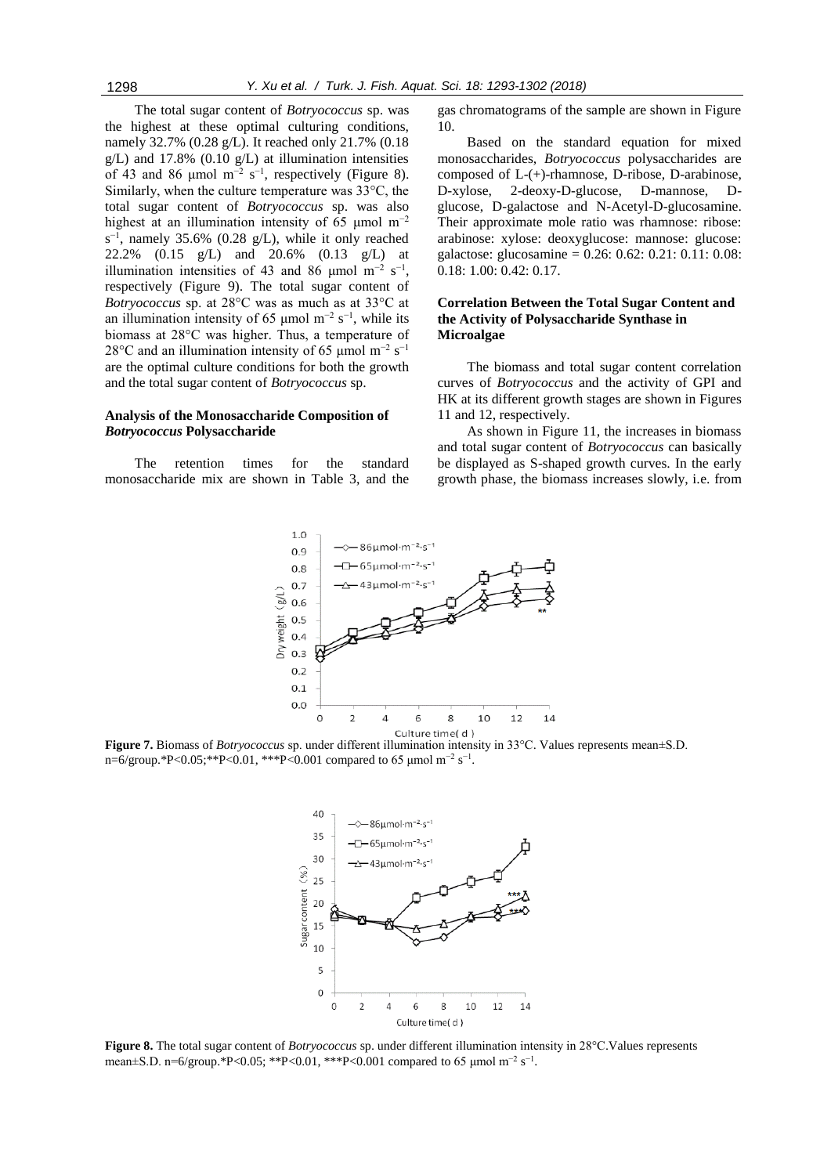The total sugar content of *Botryococcus* sp. was the highest at these optimal culturing conditions, namely 32.7% (0.28 g/L). It reached only 21.7% (0.18  $g/L$ ) and 17.8% (0.10  $g/L$ ) at illumination intensities of 43 and 86 µmol m<sup>-2</sup> s<sup>-1</sup>, respectively (Figure 8). Similarly, when the culture temperature was 33°C, the total sugar content of *Botryococcus* sp. was also highest at an illumination intensity of 65 µmol m<sup>-2</sup>  $s^{-1}$ , namely 35.6% (0.28 g/L), while it only reached 22.2% (0.15 g/L) and 20.6% (0.13 g/L) at illumination intensities of 43 and 86 µmol m<sup>-2</sup> s<sup>-1</sup>, respectively (Figure 9). The total sugar content of *Botryococcus* sp. at 28°C was as much as at 33°C at an illumination intensity of 65 µmol m<sup>-2</sup> s<sup>-1</sup>, while its biomass at 28°C was higher. Thus, a temperature of 28 $\rm{°C}$  and an illumination intensity of 65 µmol m<sup>-2</sup> s<sup>-1</sup> are the optimal culture conditions for both the growth and the total sugar content of *Botryococcus* sp.

## **Analysis of the Monosaccharide Composition of**  *Botryococcus* **Polysaccharide**

The retention times for the standard monosaccharide mix are shown in Table 3, and the gas chromatograms of the sample are shown in Figure 10.

Based on the standard equation for mixed monosaccharides, *Botryococcus* polysaccharides are composed of L-(+)-rhamnose, D-ribose, D-arabinose, D-xylose, 2-deoxy-D-glucose, D-mannose, Dglucose, D-galactose and N-Acetyl-D-glucosamine. Their approximate mole ratio was rhamnose: ribose: arabinose: xylose: deoxyglucose: mannose: glucose: galactose: glucosamine =  $0.26$ :  $0.62$ :  $0.21$ :  $0.11$ :  $0.08$ : 0.18: 1.00: 0.42: 0.17.

# **Correlation Between the Total Sugar Content and the Activity of Polysaccharide Synthase in Microalgae**

The biomass and total sugar content correlation curves of *Botryococcus* and the activity of GPI and HK at its different growth stages are shown in Figures 11 and 12, respectively.

As shown in Figure 11, the increases in biomass and total sugar content of *Botryococcus* can basically be displayed as S-shaped growth curves. In the early growth phase, the biomass increases slowly, i.e. from



**Figure 7.** Biomass of *Botryococcus* sp. under different illumination intensity in 33°C. Values represents mean±S.D. n=6/group.\*P<0.05;\*\*P<0.01, \*\*\*P<0.001 compared to 65 µmol m<sup>-2</sup> s<sup>-1</sup>.



**Figure 8.** The total sugar content of *Botryococcus* sp. under different illumination intensity in 28°C. Values represents mean±S.D. n=6/group.\*P<0.05; \*\*P<0.01, \*\*\*P<0.001 compared to 65 µmol m<sup>-2</sup> s<sup>-1</sup>.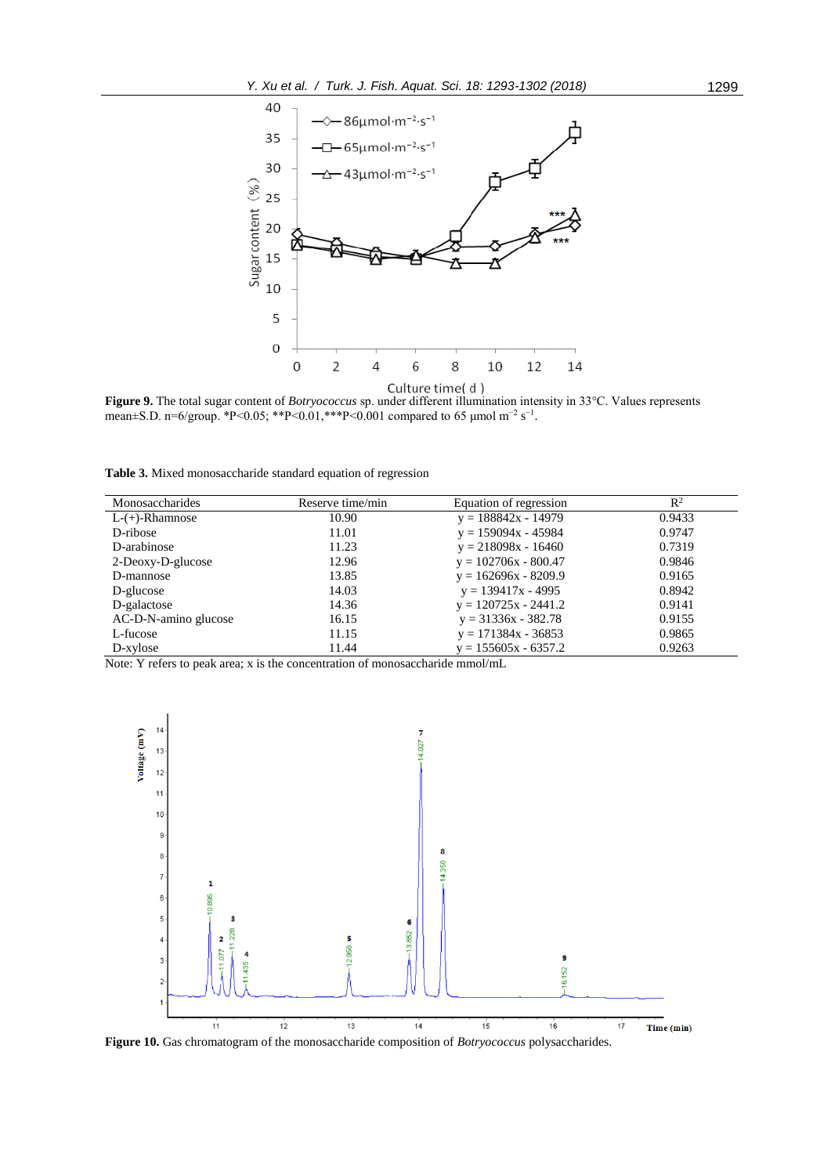

**Figure 9.** The total sugar content of *Botryococcus* sp. under different illumination intensity in 33°C. Values represents mean±S.D. n=6/group. \*P<0.05; \*\*P<0.01, \*\*\*P<0.001 compared to 65 µmol m<sup>-2</sup> s<sup>-1</sup>.

**Table 3.** Mixed monosaccharide standard equation of regression

| Monosaccharides      | Reserve time/min | Equation of regression | $\mathbb{R}^2$ |
|----------------------|------------------|------------------------|----------------|
| $L-(+)$ -Rhamnose    | 10.90            | $y = 188842x - 14979$  | 0.9433         |
| D-ribose             | 11.01            | $y = 159094x - 45984$  | 0.9747         |
| D-arabinose          | 11.23            | $y = 218098x - 16460$  | 0.7319         |
| 2-Deoxy-D-glucose    | 12.96            | $y = 102706x - 800.47$ | 0.9846         |
| D-mannose            | 13.85            | $y = 162696x - 8209.9$ | 0.9165         |
| D-glucose            | 14.03            | $y = 139417x - 4995$   | 0.8942         |
| D-galactose          | 14.36            | $y = 120725x - 2441.2$ | 0.9141         |
| AC-D-N-amino glucose | 16.15            | $y = 31336x - 382.78$  | 0.9155         |
| L-fucose             | 11.15            | $y = 171384x - 36853$  | 0.9865         |
| D-xylose             | 11.44            | $y = 155605x - 6357.2$ | 0.9263         |

Note: Y refers to peak area; x is the concentration of monosaccharide mmol/mL



**Figure 10.** Gas chromatogram of the monosaccharide composition of *Botryococcus* polysaccharides.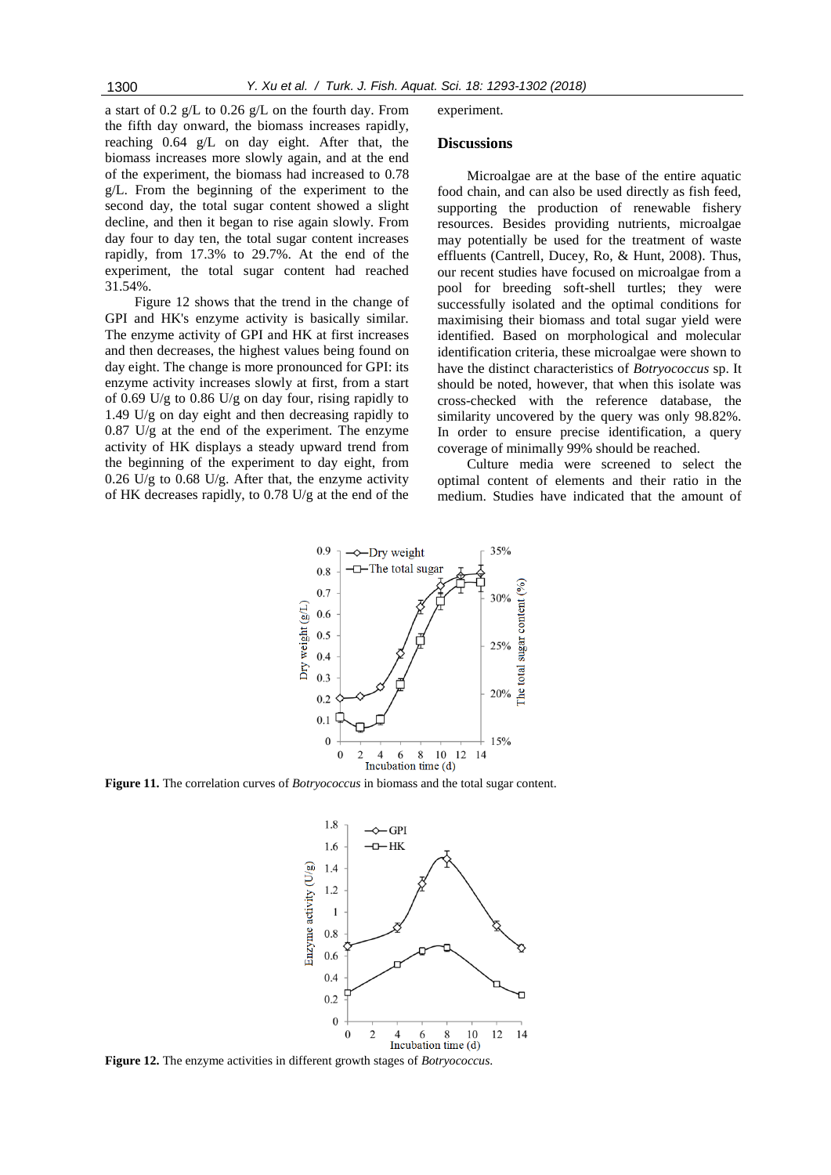a start of 0.2 g/L to 0.26 g/L on the fourth day. From the fifth day onward, the biomass increases rapidly, reaching 0.64 g/L on day eight. After that, the biomass increases more slowly again, and at the end of the experiment, the biomass had increased to 0.78 g/L. From the beginning of the experiment to the second day, the total sugar content showed a slight decline, and then it began to rise again slowly. From day four to day ten, the total sugar content increases rapidly, from 17.3% to 29.7%. At the end of the experiment, the total sugar content had reached 31.54%.

Figure 12 shows that the trend in the change of GPI and HK's enzyme activity is basically similar. The enzyme activity of GPI and HK at first increases and then decreases, the highest values being found on day eight. The change is more pronounced for GPI: its enzyme activity increases slowly at first, from a start of 0.69 U/g to 0.86 U/g on day four, rising rapidly to 1.49 U/g on day eight and then decreasing rapidly to 0.87 U/g at the end of the experiment. The enzyme activity of HK displays a steady upward trend from the beginning of the experiment to day eight, from 0.26 U/g to 0.68 U/g. After that, the enzyme activity of HK decreases rapidly, to 0.78 U/g at the end of the experiment.

# **Discussions**

Microalgae are at the base of the entire aquatic food chain, and can also be used directly as fish feed, supporting the production of renewable fishery resources. Besides providing nutrients, microalgae may potentially be used for the treatment of waste effluents (Cantrell, Ducey, Ro, & Hunt, 2008). Thus, our recent studies have focused on microalgae from a pool for breeding soft-shell turtles; they were successfully isolated and the optimal conditions for maximising their biomass and total sugar yield were identified. Based on morphological and molecular identification criteria, these microalgae were shown to have the distinct characteristics of *Botryococcus* sp. It should be noted, however, that when this isolate was cross-checked with the reference database, the similarity uncovered by the query was only 98.82%. In order to ensure precise identification, a query coverage of minimally 99% should be reached.

Culture media were screened to select the optimal content of elements and their ratio in the medium. Studies have indicated that the amount of



**Figure 11.** The correlation curves of *Botryococcus* in biomass and the total sugar content.



**Figure 12.** The enzyme activities in different growth stages of *Botryococcus*.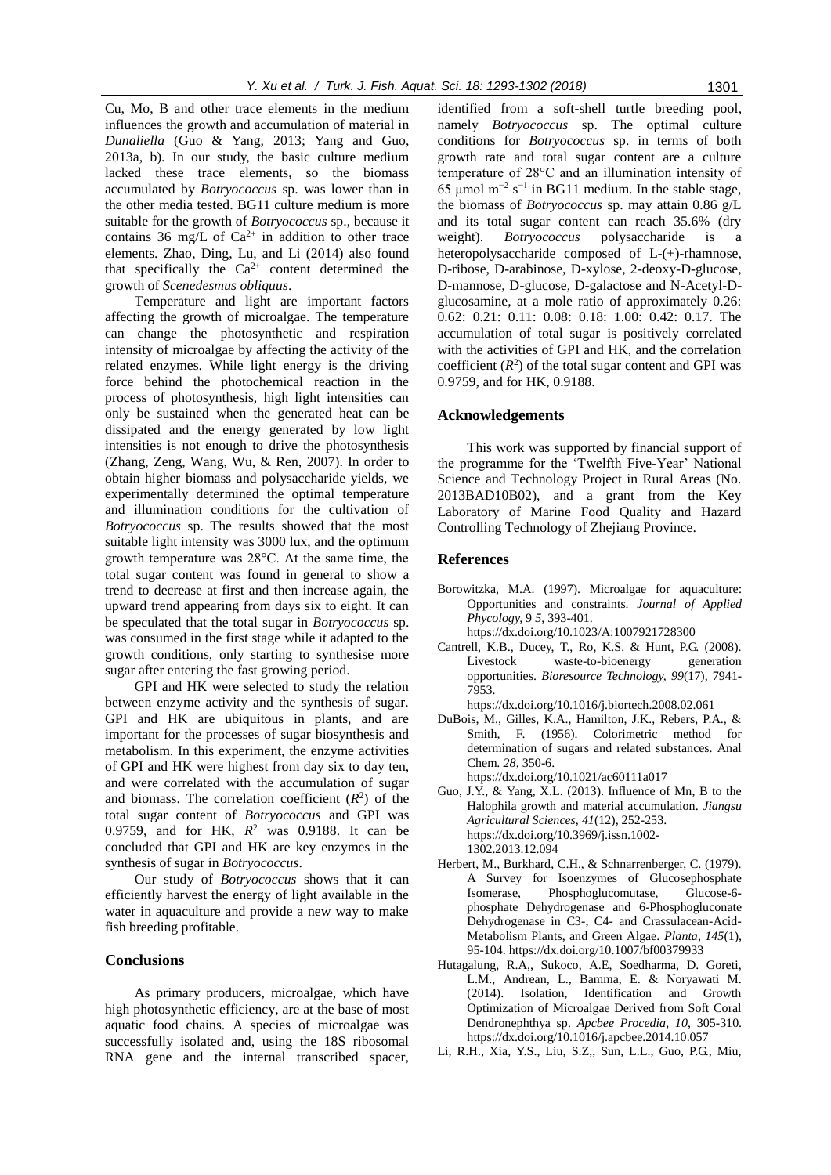Cu, Mo, B and other trace elements in the medium influences the growth and accumulation of material in *Dunaliella* (Guo & Yang, 2013; Yang and Guo, 2013a, b). In our study, the basic culture medium lacked these trace elements, so the biomass accumulated by *Botryococcus* sp. was lower than in the other media tested. BG11 culture medium is more suitable for the growth of *Botryococcus* sp., because it contains 36 mg/L of  $Ca^{2+}$  in addition to other trace elements. Zhao, Ding, Lu, and Li (2014) also found that specifically the  $Ca^{2+}$  content determined the growth of *Scenedesmus obliquus*.

Temperature and light are important factors affecting the growth of microalgae. The temperature can change the photosynthetic and respiration intensity of microalgae by affecting the activity of the related enzymes. While light energy is the driving force behind the photochemical reaction in the process of photosynthesis, high light intensities can only be sustained when the generated heat can be dissipated and the energy generated by low light intensities is not enough to drive the photosynthesis (Zhang, Zeng, Wang, Wu, & Ren, 2007). In order to obtain higher biomass and polysaccharide yields, we experimentally determined the optimal temperature and illumination conditions for the cultivation of *Botryococcus* sp. The results showed that the most suitable light intensity was 3000 lux, and the optimum growth temperature was 28°C. At the same time, the total sugar content was found in general to show a trend to decrease at first and then increase again, the upward trend appearing from days six to eight. It can be speculated that the total sugar in *Botryococcus* sp. was consumed in the first stage while it adapted to the growth conditions, only starting to synthesise more sugar after entering the fast growing period.

GPI and HK were selected to study the relation between enzyme activity and the synthesis of sugar. GPI and HK are ubiquitous in plants, and are important for the processes of sugar biosynthesis and metabolism. In this experiment, the enzyme activities of GPI and HK were highest from day six to day ten, and were correlated with the accumulation of sugar and biomass. The correlation coefficient  $(R^2)$  of the total sugar content of *Botryococcus* and GPI was 0.9759, and for HK, *R* <sup>2</sup> was 0.9188. It can be concluded that GPI and HK are key enzymes in the synthesis of sugar in *Botryococcus*.

Our study of *Botryococcus* shows that it can efficiently harvest the energy of light available in the water in aquaculture and provide a new way to make fish breeding profitable.

# **Conclusions**

As primary producers, microalgae, which have high photosynthetic efficiency, are at the base of most aquatic food chains. A species of microalgae was successfully isolated and, using the 18S ribosomal RNA gene and the internal transcribed spacer,

identified from a soft-shell [turtle breeding pool,](http://dict.cn/pool%20of%20fostering%20Chinese%20soft%20shell%20turtle) namely *Botryococcus* sp. The optimal culture conditions for *Botryococcus* sp. in terms of both growth rate and total sugar content are a culture temperature of 28°C and an illumination intensity of 65 μmol m<sup>-2</sup> s<sup>-1</sup> in BG11 medium. In the stable stage, the biomass of *Botryococcus* sp. may attain 0.86 g/L and its total sugar content can reach 35.6% (dry weight). *Botryococcus* polysaccharide is a heteropolysaccharide composed of L-(+)-rhamnose, D-ribose, D-arabinose, D-xylose, 2-deoxy-D-glucose, D-mannose, D-glucose, D-galactose and N-Acetyl-Dglucosamine, at a mole ratio of approximately 0.26: 0.62: 0.21: 0.11: 0.08: 0.18: 1.00: 0.42: 0.17. The accumulation of total sugar is positively correlated with the activities of GPI and HK, and the correlation coefficient  $(R^2)$  of the total sugar content and GPI was 0.9759, and for HK, 0.9188.

## **Acknowledgements**

This work was supported by financial support of the programme for the 'Twelfth Five-Year' National Science and Technology Project in Rural Areas (No. 2013BAD10B02), and a grant from the Key Laboratory of Marine Food Quality and Hazard Controlling Technology of Zhejiang Province.

### **References**

- Borowitzka, M.A. (1997). Microalgae for aquaculture: Opportunities and constraints. *Journal of Applied Phycology,* 9 *5*, 393-401. https://dx.doi.org/10.1023/A:1007921728300
- Cantrell, K.B., Ducey, T., Ro, K.S. & Hunt, P.G. (2008). Livestock waste-to-bioenergy generation opportunities. *Bioresource Technology, 99*(17), 7941- 7953.
	- [https://dx.doi.org/10.1016/j.biortech.2008.02.061](https://doi.org/10.1016/j.biortech.2008.02.061)
- DuBois, M., Gilles, K.A., Hamilton, J.K., Rebers, P.A., & Smith, F. (1956). Colorimetric method for determination of sugars and related substances. Anal Chem. *28*, 350-6. https://dx.doi.org/10.1021/ac60111a017
- Guo, J.Y., & Yang, X.L. (2013). Influence of Mn, B to the Halophila growth and material accumulation. *Jiangsu Agricultural Sciences, 41*(12), 252-253. [https://dx.doi.org/10.3969/j.issn.1002-](https://doi.org/10.3969/j.issn.1002-1302.2013.12.094) [1302.2013.12.094](https://doi.org/10.3969/j.issn.1002-1302.2013.12.094)
- Herbert, M., Burkhard, C.H., & Schnarrenberger, C. (1979). A Survey for Isoenzymes of Glucosephosphate Isomerase, Phosphoglucomutase, Glucose-6 phosphate Dehydrogenase and 6-Phosphogluconate Dehydrogenase in C3-, C4- and Crassulacean-Acid-Metabolism Plants, and Green Algae. *Planta*, *145*(1), 95-104. https://dx.doi.org/10.1007/bf00379933
- Hutagalung, R.A,, Sukoco, A.E, Soedharma, D. Goreti, L.M., Andrean, L., Bamma, E. & Noryawati M. (2014). Isolation, Identification and Growth Optimization of Microalgae Derived from Soft Coral Dendronephthya sp. *Apcbee Procedia, 10*, 305-310. [https://dx.doi.org/10.1016/j.apcbee.2014.10.057](https://doi.org/10.1016/j.apcbee.2014.10.057)
- Li, R.H., Xia, Y.S., Liu, S.Z,, Sun, L.L., Guo, P.G., Miu,